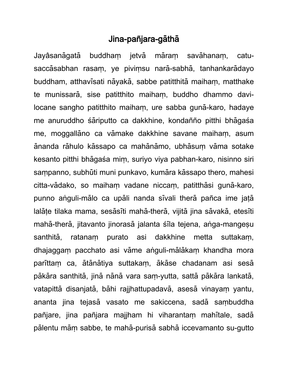## Jina-pañjara-gāthā

Jayâsanāgatā buddham jetvā māram savāhanam, catusaccasabhan rasam, ye pivimsu nara-sabha, tanhankaradayo buddham, atthavisati nāyakā, sabbe patitthitā maiham, matthake te munissarā, sise patitthito maiham, buddho dhammo davilocane sangho patitthito maiham, ure sabba guna-karo, hadaye me anuruddho sariputto ca dakkhine, kondañño pitthi bhagasa me, moggallāno ca vāmake dakkhine savane maiham, asum ananda rahulo kassapo ca mahanamo, ubhasum vama sotake kesanto pitthi bhāgaśa mim, suriyo viya pabhan-karo, nisinno siri sampanno, subhūti muni punkavo, kumāra kāssapo thero, mahesi citta-vādako, so maiham vadane niccam, patitthāsi gunā-karo, punno anguli-mālo ca upāli nanda sīvali therā pañca ime jatā lalāte tilaka mama, sesāsīti mahā-therā, vijitā jina sāvakā, etesīti mahā-therā, jitavanto jinorasā jalanta sīla tejena, anga-mangesu santhitā, ratanam purato asi dakkhine metta suttakam, dhajaggam pacchato asi vāme anguli-mālākam khandha mora parīttam ca, ātānātiya suttakam, ākāse chadanam asi sesā pākāra santhitā, jinā nānā vara sam-yutta, sattā pākāra lankatā, vatapittā disanjatā, bāhi rajjhattupadavā, asesā vinayam yantu, ananta jina tejasā vasato me sakiccena, sadā sambuddha pañjare, jina pañjara majjham hi viharantam mahitale, sadā palentu mām sabbe, te mahā-purisā sabhā iccevamanto su-gutto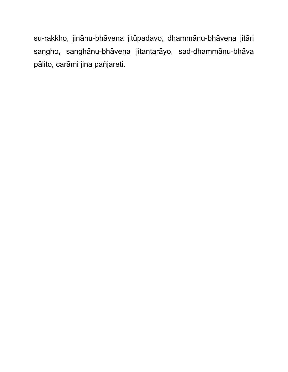su-rakkho, jinānu-bhāvena jitūpadavo, dhammānu-bhāvena jitāri sangho, sanghānu-bhāvena jitantarāyo, sad-dhammānu-bhāva pālito, carāmi jina pañjareti.